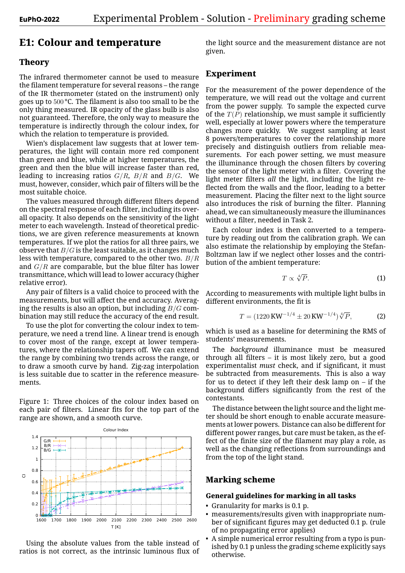# **E1: Colour and temperature**

## **Theory**

The infrared thermometer cannot be used to measure the filament temperature for several reasons – the range of the IR thermometer (stated on the instrument) only goes up to 500 °C. The filament is also too small to be the only thing measured. IR opacity of the glass bulb is also not guaranteed. Therefore, the only way to measure the temperature is indirectly through the colour index, for which the relation to temperature is provided.

Wien's displacement law suggests that at lower temperatures, the light will contain more red component than green and blue, while at higher temperatures, the green and then the blue will increase faster than red, leading to increasing ratios *G*/*R*, *B*/*R* and *B*/*G*. We must, however, consider, which pair of filters will be the most suitable choice.

The values measured through different filters depend on the spectral response of each filter, including its overall opacity. It also depends on the sensitivity of the light meter to each wavelength. Instead of theoretical predictions, we are given reference measurements at known temperatures. If we plot the ratios for all three pairs, we observe that *B*/*G* is the least suitable, as it changes much less with temperature, compared to the other two. *B*/*R* and *G*/*R* are comparable, but the blue filter has lower transmittance, which will lead to lower accuracy (higher relative error).

Any pair of filters is a valid choice to proceed with the measurements, but will affect the end accuracy. Averaging the results is also an option, but including *B*/*G* combination may still reduce the accuracy of the end result.

To use the plot for converting the colour index to temperature, we need a trend line. A linear trend is enough to cover most of the range, except at lower temperatures, where the relationship tapers off. We can extend the range by combining two trends across the range, or to draw a smooth curve by hand. Zig-zag interpolation is less suitable due to scatter in the reference measurements.

Figure 1: Three choices of the colour index based on each pair of filters. Linear fits for the top part of the range are shown, and a smooth curve.



Using the absolute values from the table instead of ratios is not correct, as the intrinsic luminous flux of

the light source and the measurement distance are not given.

## **Experiment**

For the measurement of the power dependence of the temperature, we will read out the voltage and current from the power supply. To sample the expected curve of the  $T(P)$  relationship, we must sample it sufficiently well, especially at lower powers where the temperature changes more quickly. We suggest sampling at least 8 powers/temperatures to cover the relationship more precisely and distinguish outliers from reliable measurements. For each power setting, we must measure the illuminance through the chosen filters by covering the sensor of the light meter with a filter. Covering the light meter filters *all* the light, including the light reflected from the walls and the floor, leading to a better measurement. Placing the filter next to the light source also introduces the risk of burning the filter. Planning ahead, we can simultaneously measure the illuminances without a filter, needed in Task 2.

Each colour index is then converted to a temperature by reading out from the calibration graph. We can also estimate the relationship by employing the Stefan-Boltzman law if we neglect other losses and the contribution of the ambient temperature:

$$
T \propto \sqrt[4]{P}.
$$
 (1)

According to measurements with multiple light bulbs in different environments, the fit is

$$
T = (1220 \text{ KW}^{-1/4} \pm 20 \text{ KW}^{-1/4}) \sqrt[4]{P}, \tag{2}
$$

which is used as a baseline for determining the RMS of students' measurements.

The *background* illuminance must be measured through all filters – it is most likely zero, but a good experimentalist *must* check, and if significant, it must be subtracted from measurements. This is also a way for us to detect if they left their desk lamp on – if the background differs significantly from the rest of the contestants.

The distance between the light source and the light meter should be short enough to enable accurate measurements at lower powers. Distance can also be different for different power ranges, but care must be taken, as the effect of the finite size of the filament may play a role, as well as the changing reflections from surroundings and from the top of the light stand.

## **Marking scheme**

## **General guidelines for marking in all tasks**

- Granularity for marks is 0.1 p.
- measurements/results given with inappropriate number of significant figures may get deducted 0.1 p. (rule of no propagating error applies)
- A simple numerical error resulting from a typo is punished by 0.1 p unless the grading scheme explicitly says otherwise.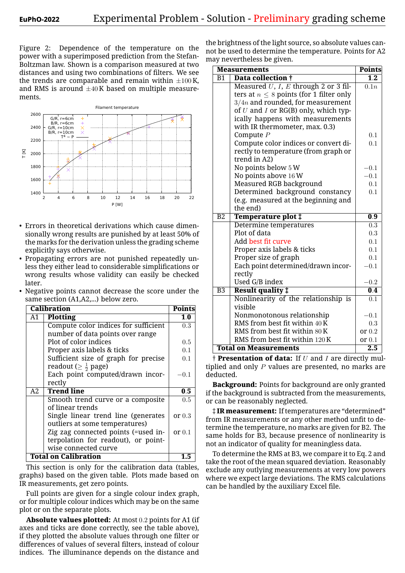Figure 2: Dependence of the temperature on the power with a superimposed prediction from the Stefan-Boltzman law. Shown is a comparison measured at two distances and using two combinations of filters. We see the trends are comparable and remain within  $\pm 100$  K, and RMS is around *±*40 K based on multiple measurements.



- Errors in theoretical derivations which cause dimensionally wrong results are punished by at least 50% of the marks for the derivation unless the grading scheme explicitly says otherwise.
- Propagating errors are not punished repeatedly unless they either lead to considerable simplifications or wrong results whose validity can easily be checked later.
- Negative points cannot decrease the score under the same section (A1,A2,...) below zero.

| <b>Calibration</b>          | <b>Points</b>                        |          |
|-----------------------------|--------------------------------------|----------|
| A1                          | Plotting                             | 1.0      |
|                             | Compute color indices for sufficient | 0.3      |
|                             | number of data points over range     |          |
|                             | Plot of color indices                | 0.5      |
|                             | Proper axis labels & ticks           | 0.1      |
|                             | Sufficient size of graph for precise | 0.1      |
|                             | readout ( $\geq \frac{1}{2}$ page)   |          |
|                             | Each point computed/drawn incor-     | $-0.1$   |
|                             | rectly                               |          |
| А2                          | <b>Trend line</b>                    | 0.5      |
|                             | Smooth trend curve or a composite    | 0.5      |
|                             | of linear trends                     |          |
|                             | Single linear trend line (generates  | or $0.3$ |
|                             | outliers at some temperatures)       |          |
|                             | Zig zag connected points (=used in-  | or $0.1$ |
|                             | terpolation for readout), or point-  |          |
|                             | wise connected curve                 |          |
| <b>Total on Calibration</b> |                                      |          |

This section is only for the calibration data (tables, graphs) based on the given table. Plots made based on IR measurements, get zero points.

Full points are given for a single colour index graph, or for multiple colour indices which may be on the same plot or on the separate plots.

**Absolute values plotted:** At most 0*.*2 points for A1 (if axes and ticks are done correctly, see the table above), if they plotted the absolute values through one filter or differences of values of several filters, instead of colour indices. The illuminance depends on the distance and

the brightness of the light source, so absolute values cannot be used to determine the temperature. Points for A2 may nevertheless be given.

| <b>Measurements</b> | <b>Points</b>                                |                   |
|---------------------|----------------------------------------------|-------------------|
| B1                  | Data collection †                            | 1.2               |
|                     | Measured $U, I, E$ through 2 or 3 fil-       | $\overline{0.1n}$ |
|                     | ters at $n \leq 8$ points (for 1 filter only |                   |
|                     | $3/4n$ and rounded, for measurement          |                   |
|                     | of $U$ and $I$ or RG(B) only, which typ-     |                   |
|                     | ically happens with measurements             |                   |
|                     | with IR thermometer, max. 0.3)               |                   |
|                     | Compute $P$                                  | 0.1               |
|                     | Compute color indices or convert di-         | 0.1               |
|                     | rectly to temperature (from graph or         |                   |
|                     | trend in A2)                                 |                   |
|                     | No points below 5 W                          | $-0.1$            |
|                     | No points above 16 W                         | $-0.1$            |
|                     | Measured RGB background                      | 0.1               |
|                     | Determined background constancy              | 0.1               |
|                     | (e.g. measured at the beginning and          |                   |
|                     | the end)                                     |                   |
| $\overline{B2}$     | Temperature plot $\ddagger$                  | 0.9               |
|                     | Determine temperatures                       | $\overline{0.3}$  |
|                     | Plot of data                                 | 0.3               |
|                     | Add best fit curve                           | 0.1               |
|                     | Proper axis labels & ticks                   | 0.1               |
|                     | Proper size of graph                         | 0.1               |
|                     | Each point determined/drawn incor-           | $-0.1$            |
|                     | rectly                                       |                   |
|                     | Used G/B index                               | $-0.2$            |
| $\overline{B3}$     | <b>Result quality ‡</b>                      | 0.4               |
|                     | Nonlinearity of the relationship is          | $\overline{0.1}$  |
|                     | visible                                      |                   |
|                     | Nonmonotonous relationship                   | $-0.1$            |
|                     | RMS from best fit within 40 K                | 0.3               |
|                     | RMS from best fit within 80K                 | or $0.2$          |
|                     | RMS from best fit within 120 K               | or $0.1$          |
|                     | <b>Total on Measurements</b>                 | 2.5               |

† **Presentation of data:** If *U* and *I* are directly multiplied and only *P* values are presented, no marks are deducted.

**Background:** Points for background are only granted if the background is subtracted from the measurements, or can be reasonably neglected.

‡ **IR measurement:** If temperatures are "determined" from IR measurements or any other method unfit to determine the temperature, no marks are given for B2. The same holds for B3, because presence of nonlinearity is not an indicator of quality for meaningless data.

To determine the RMS at B3, we compare it to Eq. 2 and take the root of the mean squared deviation. Reasonably exclude any outlying measurements at very low powers where we expect large deviations. The RMS calculations can be handled by the auxiliary Excel file.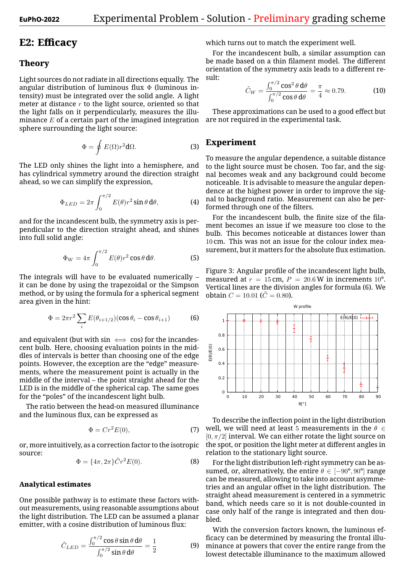# **E2: Efficacy**

#### **Theory**

Light sources do not radiate in all directions equally. The angular distribution of luminous flux  $\Phi$  (luminous intensity) must be integrated over the solid angle. A light meter at distance *r* to the light source, oriented so that the light falls on it perpendicularly, measures the illuminance *E* of a certain part of the imagined integration sphere surrounding the light source:

$$
\Phi = \oint E(\Omega) r^2 \mathbf{d}\Omega.
$$
 (3)

The LED only shines the light into a hemisphere, and has cylindrical symmetry around the direction straight ahead, so we can simplify the expression,

$$
\Phi_{LED} = 2\pi \int_0^{\pi/2} E(\theta) r^2 \sin \theta \, d\theta, \tag{4}
$$

and for the incandescent bulb, the symmetry axis is perpendicular to the direction straight ahead, and shines into full solid angle:

$$
\Phi_W = 4\pi \int_0^{\pi/2} E(\theta) r^2 \cos \theta \, d\theta. \tag{5}
$$

The integrals will have to be evaluated numerically – it can be done by using the trapezoidal or the Simpson method, or by using the formula for a spherical segment area given in the hint:

$$
\Phi = 2\pi r^2 \sum_{i} E(\theta_{i+1/2}) (\cos \theta_i - \cos \theta_{i+1}) \tag{6}
$$

and equivalent (but with sin *⇐⇒* cos) for the incandescent bulb. Here, choosing evaluation points in the middles of intervals is better than choosing one of the edge points. However, the exception are the "edge" measurements, where the measurement point is actually in the middle of the interval – the point straight ahead for the LED is in the middle of the spherical cap. The same goes for the "poles" of the incandescent light bulb.

The ratio between the head-on measured illuminance and the luminous flux, can be expressed as

$$
\Phi = Cr^2 E(0),\tag{7}
$$

or, more intuitively, as a correction factor to the isotropic source:

$$
\Phi = \{4\pi, 2\pi\} \tilde{C} r^2 E(0). \tag{8}
$$

#### **Analytical estimates**

One possible pathway is to estimate these factors without measurements, using reasonable assumptions about the light distribution. The LED can be assumed a planar emitter, with a cosine distribution of luminous flux:

$$
\tilde{C}_{LED} = \frac{\int_0^{\pi/2} \cos \theta \sin \theta \, d\theta}{\int_0^{\pi/2} \sin \theta \, d\theta} = \frac{1}{2}
$$
(9)

which turns out to match the experiment well.

For the incandescent bulb, a similar assumption can be made based on a thin filament model. The different orientation of the symmetry axis leads to a different result:

$$
\tilde{C}_W = \frac{\int_0^{\pi/2} \cos^2 \theta \, \mathrm{d}\theta}{\int_0^{\pi/2} \cos \theta \, \mathrm{d}\theta} = \frac{\pi}{4} \approx 0.79. \tag{10}
$$

These approximations can be used to a good effect but are not required in the experimental task.

## **Experiment**

To measure the angular dependence, a suitable distance to the light source must be chosen. Too far, and the signal becomes weak and any background could become noticeable. It is advisable to measure the angular dependence at the highest power in order to improve the signal to background ratio. Measurement can also be performed through one of the filters.

For the incandescent bulb, the finite size of the filament becomes an issue if we measure too close to the bulb. This becomes noticeable at distances lower than 10 cm. This was not an issue for the colour index measurement, but it matters for the absolute flux estimation.

Figure 3: Angular profile of the incandescent light bulb, measured at  $r = 15$  cm,  $P = 20.6$  W in increments 10<sup>°</sup>. Vertical lines are the division angles for formula (6). We obtain  $C = 10.01$  ( $\tilde{C} = 0.80$ ).



To describe the inflection point in the light distribution well, we will need at least 5 measurements in the *θ ∈*  $[0, \pi/2]$  interval. We can either rotate the light source on the spot, or position the light meter at different angles in relation to the stationary light source.

For the light distribution left-right symmetry can be assumed, or, alternatively, the entire  $\theta \in [-90^{\circ}, 90^{\circ}]$  range can be measured, allowing to take into account asymmetries and an angular offset in the light distribution. The straight ahead measurement is centered in a symmetric band, which needs care so it is not double-counted in case only half of the range is integrated and then doubled.

With the conversion factors known, the luminous efficacy can be determined by measuring the frontal illuminance at powers that cover the entire range from the lowest detectable illuminance to the maximum allowed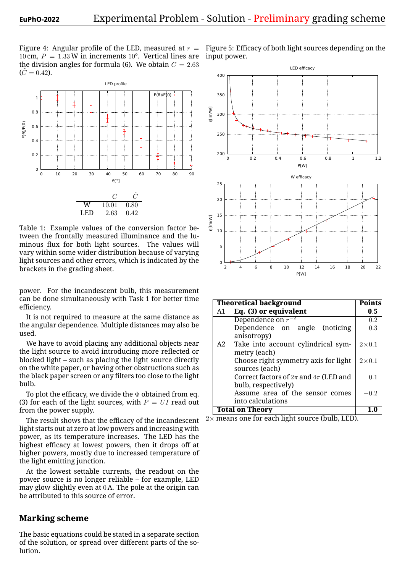Figure 4: Angular profile of the LED, measured at  $r =$ 10 cm,  $P = 1.33$  W in increments 10<sup>°</sup>. Vertical lines are the division angles for formula (6). We obtain  $C = 2.63$  $(\tilde{C}=0.42)$ .



Table 1: Example values of the conversion factor between the frontally measured illuminance and the luminous flux for both light sources. The values will vary within some wider distribution because of varying light sources and other errors, which is indicated by the brackets in the grading sheet.

power. For the incandescent bulb, this measurement can be done simultaneously with Task 1 for better time efficiency.

It is not required to measure at the same distance as the angular dependence. Multiple distances may also be used.

We have to avoid placing any additional objects near the light source to avoid introducing more reflected or blocked light – such as placing the light source directly on the white paper, or having other obstructions such as the black paper screen or any filters too close to the light bulb.

To plot the efficacy, we divide the  $\Phi$  obtained from eq. (3) for each of the light sources, with  $P = UI$  read out from the power supply.

The result shows that the efficacy of the incandescent light starts out at zero at low powers and increasing with power, as its temperature increases. The LED has the highest efficacy at lowest powers, then it drops off at higher powers, mostly due to increased temperature of the light emitting junction.

At the lowest settable currents, the readout on the power source is no longer reliable – for example, LED may glow slightly even at 0 A. The pole at the origin can be attributed to this source of error.

## **Marking scheme**

The basic equations could be stated in a separate section of the solution, or spread over different parts of the solution.



|                                                    |                            | W efficacy                                                      |                          |
|----------------------------------------------------|----------------------------|-----------------------------------------------------------------|--------------------------|
|                                                    | 25                         |                                                                 |                          |
| $\tilde{C}$                                        | 20                         |                                                                 |                          |
| $\overline{0.80}$                                  |                            |                                                                 |                          |
| 0.42                                               | 15                         |                                                                 |                          |
|                                                    | n[lm/W]                    |                                                                 |                          |
| conversion factor be-                              | 10                         |                                                                 |                          |
| luminance and the lu-                              |                            |                                                                 |                          |
| The values will<br>ces.<br>ion because of varying  | 5                          |                                                                 |                          |
| nich is indicated by the                           |                            |                                                                 |                          |
|                                                    | $\Omega$<br>$\overline{2}$ | 8<br>6<br>10<br>12<br>14<br>16<br>18<br>4                       | 20<br>22                 |
|                                                    |                            | P[W]                                                            |                          |
| ulb, this measurement<br>Task 1 for better time    |                            | <b>Theoretical background</b>                                   | <b>Points</b>            |
|                                                    | A1                         | Eq. (3) or equivalent                                           | 0.5                      |
| t the same distance as                             |                            | Dependence on $r^{-2}$                                          | $0.2\,$                  |
| e distances may also be                            |                            | Dependence<br>angle<br>(noticing)<br>on                         | 0.3                      |
|                                                    |                            | anisotropy)                                                     |                          |
| additional objects near                            | $\overline{A2}$            | Take into account cylindrical sym-                              | $\overline{2\times 0.1}$ |
| cing more reflected or                             |                            | metry (each)                                                    |                          |
| e light source directly<br>er obstructions such as |                            | Choose right symmetry axis for light                            | $2\times 0.1$            |
| ers too close to the light                         |                            | sources (each)<br>Correct factors of $2\pi$ and $4\pi$ (LED and |                          |
|                                                    |                            | bulb, respectively)                                             | 0.1                      |
| he $\Phi$ obtained from eq.                        |                            | Assume area of the sensor comes                                 | $-0.2$                   |
| with $P = UI$ read out                             |                            | into calculations                                               |                          |
|                                                    |                            | <b>Total on Theory</b>                                          | $\overline{1.0}$         |
| cy of the incandescent                             |                            | $2\times$ means one for each light source (bulb, LED).          |                          |
| ers and increasing with                            |                            |                                                                 |                          |
| ises. The LED has the                              |                            |                                                                 |                          |

Figure 5: Efficacy of both light sources depending on the input power.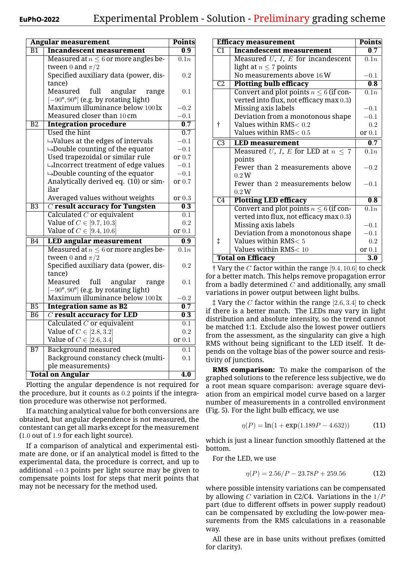|                 | <b>Angular measurement</b>                                               | <b>Points</b>             |
|-----------------|--------------------------------------------------------------------------|---------------------------|
| $\overline{B1}$ | <b>Incandescent measurement</b>                                          | 0.9                       |
|                 | Measured at $n \leq 6$ or more angles be-                                | 0.1n                      |
|                 | tween 0 and $\pi/2$                                                      |                           |
|                 | Specified auxiliary data (power, dis-                                    | 0.2                       |
|                 | tance)                                                                   |                           |
|                 | full<br>Measured<br>angular<br>range                                     | 0.1                       |
|                 | $[-90^{\circ}, 90^{\circ}]$ (e.g. by rotating light)                     |                           |
|                 | Maximum illuminance below 100 lx                                         | $-0.2\,$                  |
|                 | Measured closer than 10 cm                                               | $-0.1$                    |
| $\overline{B2}$ | <b>Integration procedure</b>                                             | 0.7                       |
|                 | <b>Used the hint</b>                                                     | 0.7                       |
|                 | $\rightarrow$ Values at the edges of intervals                           | $-0.1$                    |
|                 | $\rightarrow$ Double counting of the equator                             | $-0.1$                    |
|                 | Used trapezoidal or similar rule                                         | or 0.7                    |
|                 | $\rightarrow$ Incorrect treatment of edge values                         | $-0.1$                    |
|                 | $\rightarrow$ Double counting of the equator                             | $-0.1$                    |
|                 | Analytically derived eq. (10) or sim-                                    | or 0.7                    |
|                 | ilar                                                                     |                           |
|                 | Averaged values without weights                                          | or $0.3$                  |
| $\overline{B3}$ | $\overline{C}$ result accuracy for Tungsten                              | 0.3                       |
|                 | Calculated $C$ or equivalent                                             | 0.1                       |
|                 | Value of $C \in [9.7, 10.3]$                                             | $\rm 0.2$                 |
|                 | Value of $C \in [9.4, 10.6]$                                             | or $0.1$                  |
| $\overline{B4}$ | <b>LED angular measurement</b>                                           | $\overline{\mathbf{0.9}}$ |
|                 | Measured at $n \leq 6$ or more angles be-                                | $\overline{0.1n}$         |
|                 | tween 0 and $\pi/2$                                                      |                           |
|                 | Specified auxiliary data (power, dis-                                    | 0.2                       |
|                 | tance)<br>full<br>Measured                                               |                           |
|                 | angular<br>range<br>$[-90^{\circ}, 90^{\circ}]$ (e.g. by rotating light) | 0.1                       |
|                 | Maximum illuminance below 100 lx                                         | $-0.2$                    |
| $\overline{B5}$ | <b>Integration same as B2</b>                                            | $\overline{\mathbf{0.7}}$ |
| $\overline{B6}$ | $C$ result accuracy for LED                                              | 0.3                       |
|                 | Calculated $C$ or equivalent                                             | 0.1                       |
|                 | Value of $C \in [2.8, 3.2]$                                              | $\rm 0.2$                 |
|                 | Value of $C \in [2.6, 3.4]$                                              | or $0.1$                  |
| $\overline{B7}$ | <b>Background measured</b>                                               | $\overline{0.1}$          |
|                 | Background constancy check (multi-                                       | 0.1                       |
|                 | ple measurements)                                                        |                           |
|                 | <b>Total on Angular</b>                                                  | $\overline{4.0}$          |
|                 |                                                                          |                           |

Plotting the angular dependence is not required for the procedure, but it counts as 0*.*2 points if the integration procedure was otherwise not performed.

If a matching analytical value for both conversions are obtained, but angular dependence is not measured, the contestant can get all marks except for the measurement (1*.*0 out of 1*.*9 for each light source).

If a comparison of analytical and experimental estimate are done, or if an analytical model is fitted to the experimental data, the procedure is correct, and up to additional +0*.*3 points per light source may be given to compensate points lost for steps that merit points that may not be necessary for the method used.

| <b>Efficacy measurement</b> | <b>Points</b>                               |          |
|-----------------------------|---------------------------------------------|----------|
| $\overline{C1}$             | <b>Incandescent measurement</b>             | 0.7      |
|                             | Measured $U$ , $I$ , $E$ for incandescent   | 0.1n     |
|                             | light at $n \leq 7$ points                  |          |
|                             | No measurements above 16 W                  | $-0.1$   |
| $\overline{C2}$             | <b>Plotting bulb efficacy</b>               | 0.8      |
|                             | Convert and plot points $n \leq 6$ (if con- | 0.1n     |
|                             | verted into flux, not efficacy max 0.3)     |          |
|                             | Missing axis labels                         | $-0.1$   |
|                             | Deviation from a monotonous shape           | $-0.1$   |
| t                           | Values within $\text{RMS}\text{<}~0.2$      | 0.2      |
|                             | Values within $\text{RMS}\text{<}\ 0.5$     | or $0.1$ |
| $\overline{C3}$             | <b>LED</b> measurement                      | 0.7      |
|                             | Measured U, I, E for LED at $n \leq 7$      | 0.1n     |
|                             | points                                      |          |
|                             | Fewer than 2 measurements above             | $-0.2$   |
|                             | 0.2W                                        |          |
|                             | Fewer than 2 measurements below             | $-0.1$   |
|                             | 0.2W                                        |          |
| $\overline{C4}$             | <b>Plotting LED efficacy</b>                | 0.8      |
|                             | Convert and plot points $n \leq 6$ (if con- | 0.1n     |
|                             | verted into flux, not efficacy max 0.3)     |          |
|                             | Missing axis labels                         | $-0.1$   |
|                             | Deviation from a monotonous shape           | $-0.1$   |
| $\ddagger$                  | Values within RMS< 5                        | 0.2      |
|                             | Values within $\text{RMS}$ $< 10$           | or $0.1$ |
| <b>Total on Efficacy</b>    | 3.0                                         |          |

† Vary the *C* factor within the range [9*.*4*,* 10*.*6] to check for a better match. This helps remove propagation error from a badly determined *C* and additionally, any small variations in power output between light bulbs.

‡ Vary the *C* factor within the range [2*.*6*,* 3*.*4] to check if there is a better match. The LEDs may vary in light distribution and absolute intensity, so the trend cannot be matched 1:1. Exclude also the lowest power outliers from the assessment, as the singularity can give a high RMS without being significant to the LED itself. It depends on the voltage bias of the power source and resistivity of junctions.

**RMS comparison:** To make the comparison of the graphed solutions to the reference less subjective, we do a root mean square comparison: average square deviation from an empirical model curve based on a larger number of measurements in a controlled environment (Fig. 5). For the light bulb efficacy, we use

$$
\eta(P) = \ln(1 + \exp(1.189P - 4.632))
$$
 (11)

which is just a linear function smoothly flattened at the bottom.

For the LED, we use

$$
\eta(P) = 2.56/P - 23.78P + 259.56\tag{12}
$$

where possible intensity variations can be compensated by allowing *C* variation in C2/C4. Variations in the 1/*P* part (due to different offsets in power supply readout) can be compensated by excluding the low-power measurements from the RMS calculations in a reasonable way.

All these are in base units without prefixes (omitted for clarity).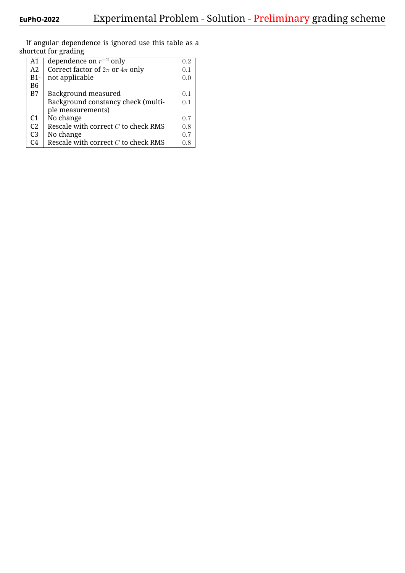| A1             | dependence on $r^{-2}$ only             | $0.2\,$ |
|----------------|-----------------------------------------|---------|
| A2             | Correct factor of $2\pi$ or $4\pi$ only | 0.1     |
| $B1-$          | not applicable                          | 0.0     |
| B <sub>6</sub> |                                         |         |
| B7             | Background measured                     | 0.1     |
|                | Background constancy check (multi-      | 0.1     |
|                | ple measurements)                       |         |
| C <sub>1</sub> | No change                               | 0.7     |
| C <sub>2</sub> | Rescale with correct $C$ to check RMS   | 0.8     |
| C <sub>3</sub> | No change                               | 0.7     |
| C4             | Rescale with correct $C$ to check RMS   | 0.8     |

If angular dependence is ignored use this table as a shortcut for grading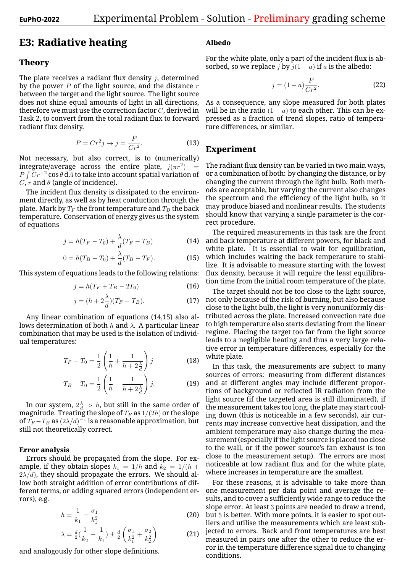# **E3: Radiative heating**

#### **Theory**

The plate receives a radiant flux density *j*, determined by the power *P* of the light source, and the distance *r* between the target and the light source. The light source does not shine equal amounts of light in all directions, therefore we must use the correction factor *C*, derived in Task 2, to convert from the total radiant flux to forward radiant flux density.

$$
P = Cr^2 j \to j = \frac{P}{Cr^2}.\tag{13}
$$

Not necessary, but also correct, is to (numerically) integrate/average across the entire plate,  $j(\pi r^2)$  = *P* R *Cr−*<sup>2</sup> cos *θ* d*A* to take into account spatial variation of *C*, *r* and  $\theta$  (angle of incidence).

The incident flux density is dissipated to the environment directly, as well as by heat conduction through the plate. Mark by  $T_F$  the front temperature and  $T_B$  the back temperature. Conservation of energy gives us the system of equations

$$
j = h(T_F - T_0) + \frac{\lambda}{d}(T_F - T_B)
$$
 (14)

$$
0 = h(T_B - T_0) + \frac{\lambda}{d}(T_B - T_F).
$$
 (15)

This system of equations leads to the following relations:

$$
j = h(T_F + T_B - 2T_0)
$$
 (16)

$$
j = (h + 2\frac{\lambda}{d})(T_F - T_B).
$$
 (17)

Any linear combination of equations (14,15) also allows determination of both *h* and *λ*. A particular linear combination that may be used is the isolation of individual temperatures:

$$
T_F - T_0 = \frac{1}{2} \left( \frac{1}{h} + \frac{1}{h + 2\frac{\lambda}{d}} \right) j
$$
 (18)

$$
T_B - T_0 = \frac{1}{2} \left( \frac{1}{h} - \frac{1}{h + 2\frac{\lambda}{d}} \right) j.
$$
 (19)

In our system,  $2\frac{\lambda}{d} > h$ , but still in the same order of magnitude. Treating the slope of  $T_F$  as  $1/(2h)$  or the slope of  $T_F\!-\!T_B$  as  $(2\lambda/d)^{-1}$  is a reasonable approximation, but still not theoretically correct.

#### **Error analysis**

Errors should be propagated from the slope. For example, if they obtain slopes  $k_1 = 1/h$  and  $k_2 = 1/(h +$  $2\lambda/d$ , they should propagate the errors. We should allow both straight addition of error contributions of different terms, or adding squared errors (independent errors), e.g.

$$
h = \frac{1}{k_1} \pm \frac{\sigma_1}{k_1^2}
$$
 (20)

$$
\lambda = \frac{d}{2} \left( \frac{1}{k_2} - \frac{1}{k_1} \right) \pm \frac{d}{2} \left( \frac{\sigma_1}{k_1^2} + \frac{\sigma_2}{k_2^2} \right) \tag{21}
$$

and analogously for other slope definitions.

#### **Albedo**

For the white plate, only a part of the incident flux is absorbed, so we replace *j* by  $j(1 - a)$  if *a* is the albedo:

$$
j = (1 - a)\frac{P}{Cr^2}.
$$
 (22)

As a consequence, any slope measured for both plates will be in the ratio  $(1 - a)$  to each other. This can be expressed as a fraction of trend slopes, ratio of temperature differences, or similar.

## **Experiment**

The radiant flux density can be varied in two main ways, or a combination of both: by changing the distance, or by changing the current through the light bulb. Both methods are acceptable, but varying the current also changes the spectrum and the efficiency of the light bulb, so it may produce biased and nonlinear results. The students should know that varying a single parameter is the correct procedure.

The required measurements in this task are the front and back temperature at different powers, for black and white plate. It is essential to wait for equilibration, which includes waiting the back temperature to stabilize. It is advisable to measure starting with the lowest flux density, because it will require the least equilibration time from the initial room temperature of the plate.

The target should not be too close to the light source, not only because of the risk of burning, but also because close to the light bulb, the light is very nonuniformly distributed across the plate. Increased convection rate due to high temperature also starts deviating from the linear regime. Placing the target too far from the light source leads to a negligible heating and thus a very large relative error in temperature differences, especially for the white plate.

In this task, the measurements are subject to many sources of errors: measuring from different distances and at different angles may include different proportions of background or reflected IR radiation from the light source (if the targeted area is still illuminated), if the measurement takes too long, the plate may start cooling down (this is noticeable in a few seconds), air currents may increase convective heat dissipation, and the ambient temperature may also change during the measurement (especially if the light source is placed too close to the wall, or if the power source's fan exhaust is too close to the measurement setup). The errors are most noticeable at low radiant flux and for the white plate, where increases in temperature are the smallest.

For these reasons, it is advisable to take more than one measurement per data point and average the results, and to cover a sufficiently wide range to reduce the slope error. At least 3 points are needed to draw a trend, but 5 is better. With more points, it is easier to spot outliers and utilise the measurements which are least subjected to errors. Back and front temperatures are best measured in pairs one after the other to reduce the error in the temperature difference signal due to changing conditions.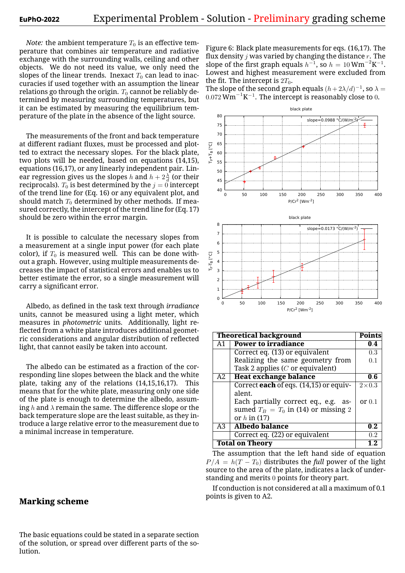*Note:* the ambient temperature  $T_0$  is an effective temperature that combines air temperature and radiative exchange with the surrounding walls, ceiling and other objects. We do not need its value, we only need the slopes of the linear trends. Inexact  $T_0$  can lead to inaccuracies if used together with an assumption the linear relations go through the origin.  $T_0$  cannot be reliably determined by measuring surrounding temperatures, but it can be estimated by measuring the equilibrium temperature of the plate in the absence of the light source.

The measurements of the front and back temperature at different radiant fluxes, must be processed and plotted to extract the necessary slopes. For the black plate, two plots will be needed, based on equations (14,15), equations (16,17), or any linearly independent pair. Linear regression gives us the slopes *h* and  $h + 2\frac{\lambda}{d}$  (or their reciprocals).  $T_0$  is best determined by the  $j = 0$  intercept of the trend line for (Eq. 16) or any equivalent plot, and should match  $T_0$  determined by other methods. If measured correctly, the intercept of the trend line for (Eq. 17) should be zero within the error margin.

It is possible to calculate the necessary slopes from a measurement at a single input power (for each plate color), if  $T_0$  is measured well. This can be done without a graph. However, using multiple measurements decreases the impact of statistical errors and enables us to better estimate the error, so a single measurement will carry a significant error.

Albedo, as defined in the task text through *irradiance* units, cannot be measured using a light meter, which measures in *photometric* units. Additionally, light reflected from a white plate introduces additional geometric considerations and angular distribution of reflected light, that cannot easily be taken into account.

The albedo can be estimated as a fraction of the corresponding line slopes between the black and the white plate, taking any of the relations (14,15,16,17). This means that for the white plate, measuring only one side of the plate is enough to determine the albedo, assuming *h* and *λ* remain the same. The difference slope or the back temperature slope are the least suitable, as they introduce a large relative error to the measurement due to a minimal increase in temperature.

#### **Marking scheme**

The basic equations could be stated in a separate section of the solution, or spread over different parts of the solution.

Figure 6: Black plate measurements for eqs. (16,17). The flux density *j* was varied by changing the distance *r*. The slope of the first graph equals  $h^{-1}$ , so  $h = 10 \,\mathrm{W m^{-2} K^{-1}}$ . Lowest and highest measurement were excluded from the fit. The intercept is  $2T_0$ .

The slope of the second graph equals  $(h+2\lambda/d)^{-1}$ , so  $\lambda =$ 0*.*072Wm*−*1K *−*1 . The intercept is reasonably close to 0.



| <b>Theoretical background</b> |                                         | <b>Points</b> |
|-------------------------------|-----------------------------------------|---------------|
| A <sub>1</sub>                | <b>Power to irradiance</b>              | 0.4           |
|                               | Correct eq. $(13)$ or equivalent        | 0.3           |
|                               | Realizing the same geometry from        | 0.1           |
|                               | Task 2 applies $(C$ or equivalent)      |               |
| A2                            | <b>Heat exchange balance</b>            | 0.6           |
|                               | Correct each of eqs. (14,15) or equiv-  | $2\times0.3$  |
|                               | alent.                                  |               |
|                               | Each partially correct eq., e.g.<br>as- | or $0.1$      |
|                               | sumed $T_B = T_0$ in (14) or missing 2  |               |
|                               | or $h$ in (17)                          |               |
| A3                            | <b>Albedo balance</b>                   | 0.2           |
|                               | Correct eq. (22) or equivalent          | 0.2           |
| <b>Total on Theory</b>        | 1.2                                     |               |

The assumption that the left hand side of equation  $P/A = h(T - T_0)$  distributes the *full* power of the light source to the area of the plate, indicates a lack of understanding and merits 0 points for theory part.

If conduction is not considered at all a maximum of 0.1 points is given to A2.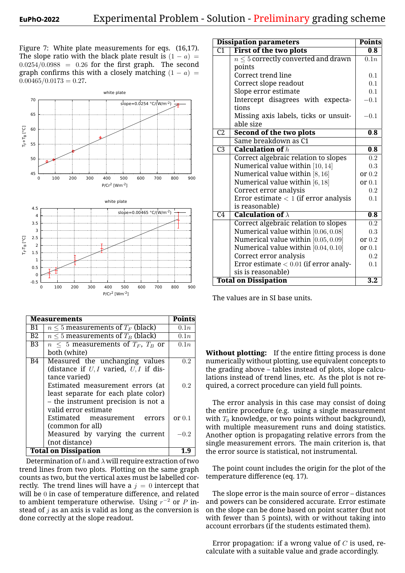Figure 7: White plate measurements for eqs. (16,17). The slope ratio with the black plate result is  $(1 - a)$  =  $0.0254/0.0988 = 0.26$  for the first graph. The second graph confirms this with a closely matching  $(1 - a)$  =  $0.00465/0.0173 = 0.27$ .



|                | Measurements                                | <b>Points</b> |
|----------------|---------------------------------------------|---------------|
| Β1             | $n \leq 5$ measurements of $T_F$ (black)    | 0.1n          |
| B2             | $n \leq 5$ measurements of $T_B$ (black)    | 0.1n          |
| B <sub>3</sub> | $n \leq 5$ measurements of $T_F$ , $T_B$ or | 0.1n          |
|                | both (white)                                |               |
| <b>B4</b>      | Measured the unchanging values              | 0.2           |
|                | (distance if $U, I$ varied, $U, I$ if dis-  |               |
|                | tance varied)                               |               |
|                | Estimated measurement errors (at            | 0.2           |
|                | least separate for each plate color)        |               |
|                | - the instrument precision is not a         |               |
|                | valid error estimate                        |               |
|                | Estimated measurement<br>errors             | or $0.1$      |
|                | (common for all)                            |               |
|                | Measured by varying the current             | $-0.2$        |
|                | (not distance)                              |               |
|                | <b>Total on Dissipation</b>                 |               |

Determination of *h* and *λ* will require extraction of two trend lines from two plots. Plotting on the same graph counts as two, but the vertical axes must be labelled correctly. The trend lines will have a  $j = 0$  intercept that will be 0 in case of temperature difference, and related to ambient temperature otherwise. Using *r <sup>−</sup>*<sup>2</sup> or *P* instead of *j* as an axis is valid as long as the conversion is done correctly at the slope readout.

|                 | <b>Dissipation parameters</b>            | <b>Points</b>    |
|-----------------|------------------------------------------|------------------|
| $\overline{C1}$ | First of the two plots                   | 0.8              |
|                 | $n \leq 5$ correctly converted and drawn | 0.1n             |
|                 | points                                   |                  |
|                 | Correct trend line                       | 0.1              |
|                 | Correct slope readout                    | 0.1              |
|                 | Slope error estimate                     | 0.1              |
|                 | Intercept disagrees with expecta-        | $-0.1$           |
|                 | tions                                    |                  |
|                 | Missing axis labels, ticks or unsuit-    | $-0.1$           |
|                 | able size                                |                  |
| $\overline{C2}$ | <b>Second of the two plots</b>           | 0.8              |
|                 | Same breakdown as C1                     |                  |
| $\overline{C3}$ | <b>Calculation of</b> $h$                | 0.8              |
|                 | Correct algebraic relation to slopes     | 0.2              |
|                 | Numerical value within [10, 14]          | 0.3              |
|                 | Numerical value within $[8, 16]$         | or $0.2$         |
|                 | Numerical value within [6, 18]           | or $0.1$         |
|                 | Correct error analysis                   | 0.2              |
|                 | Error estimate $< 1$ (if error analysis  | 0.1              |
|                 | is reasonable)                           |                  |
| $\overline{C4}$ | <b>Calculation of</b> $\lambda$          | 0.8              |
|                 | Correct algebraic relation to slopes     | 0.2              |
|                 | Numerical value within [0.06, 0.08]      | 0.3              |
|                 | Numerical value within [0.05, 0.09]      | or $0.2$         |
|                 | Numerical value within $[0.04, 0.10]$    | or $0.1$         |
|                 | Correct error analysis                   | 0.2              |
|                 | Error estimate $< 0.01$ (if error analy- | 0.1              |
|                 | sis is reasonable)                       |                  |
|                 | <b>Total on Dissipation</b>              | $\overline{3.2}$ |

The values are in SI base units.

**Without plotting:** If the entire fitting process is done numerically without plotting, use equivalent concepts to the grading above – tables instead of plots, slope calculations instead of trend lines, etc. As the plot is not required, a correct procedure can yield full points.

The error analysis in this case may consist of doing the entire procedure (e.g. using a single measurement with  $T_0$  knowledge, or two points without background), with multiple measurement runs and doing statistics. Another option is propagating relative errors from the single measurement errors. The main criterion is, that the error source is statistical, not instrumental.

The point count includes the origin for the plot of the temperature difference (eq. 17).

The slope error is the main source of error – distances and powers can be considered accurate. Error estimate on the slope can be done based on point scatter (but not with fewer than 5 points), with or without taking into account errorbars (if the students estimated them).

Error propagation: if a wrong value of *C* is used, recalculate with a suitable value and grade accordingly.